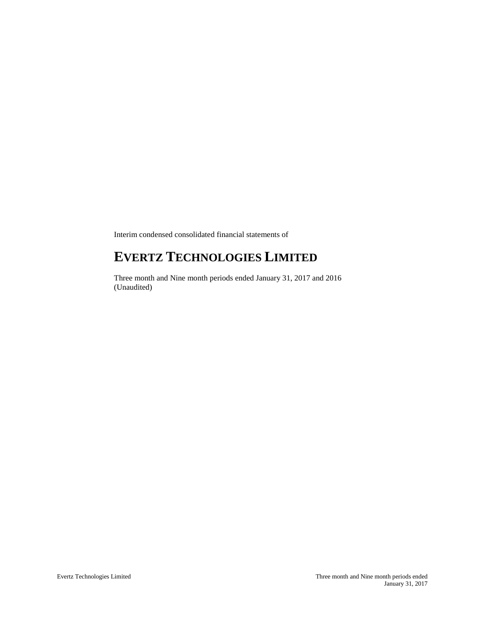Interim condensed consolidated financial statements of

# **EVERTZ TECHNOLOGIES LIMITED**

Three month and Nine month periods ended January 31, 2017 and 2016 (Unaudited)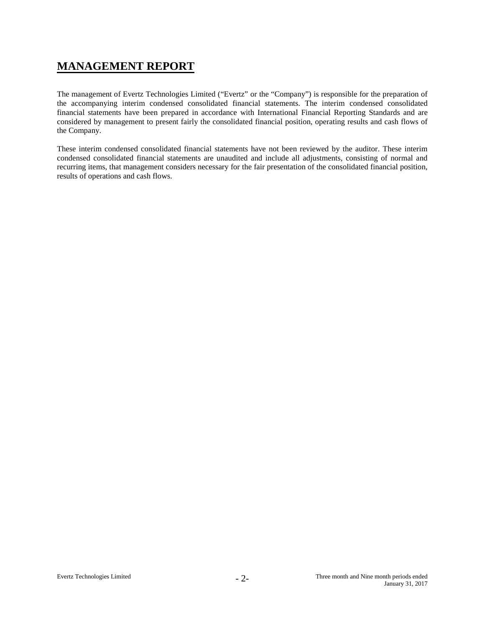# **MANAGEMENT REPORT**

The management of Evertz Technologies Limited ("Evertz" or the "Company") is responsible for the preparation of the accompanying interim condensed consolidated financial statements. The interim condensed consolidated financial statements have been prepared in accordance with International Financial Reporting Standards and are considered by management to present fairly the consolidated financial position, operating results and cash flows of the Company.

These interim condensed consolidated financial statements have not been reviewed by the auditor. These interim condensed consolidated financial statements are unaudited and include all adjustments, consisting of normal and recurring items, that management considers necessary for the fair presentation of the consolidated financial position, results of operations and cash flows.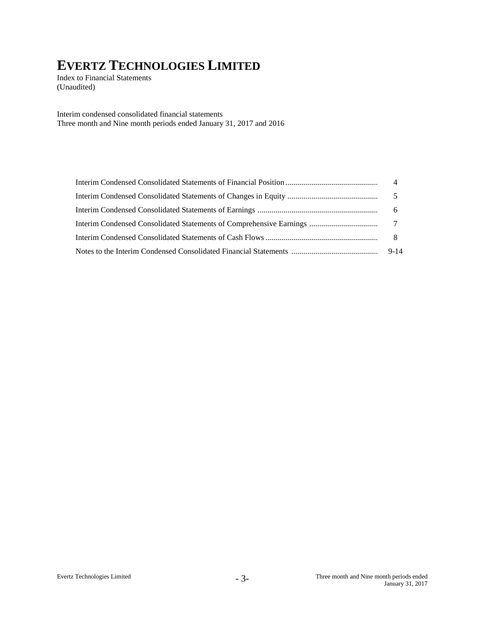Index to Financial Statements (Unaudited)

Interim condensed consolidated financial statements Three month and Nine month periods ended January 31, 2017 and 2016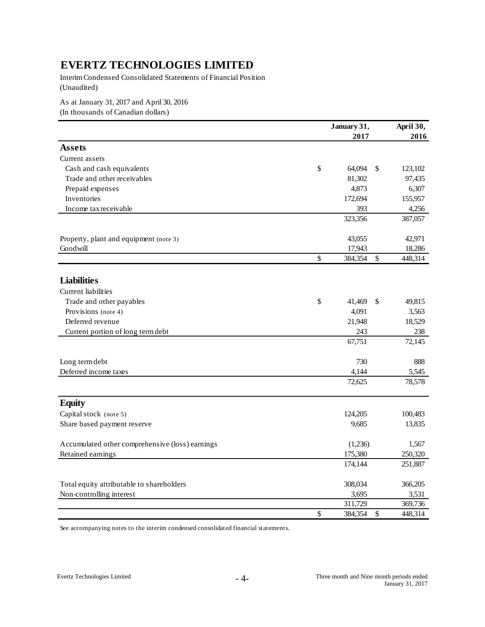Interim Condensed Consolidated Statements of Financial Position (Unaudited)

As at January 31, 2017 and April 30, 2016

(In thousands of Canadian dollars)

|                                                 | January 31,   | April 30, |         |
|-------------------------------------------------|---------------|-----------|---------|
|                                                 | 2017          |           | 2016    |
| <b>Assets</b>                                   |               |           |         |
| Current assets                                  |               |           |         |
| Cash and cash equivalents                       | \$<br>64,094  | \$        | 123,102 |
| Trade and other receivables                     | 81,302        |           | 97,435  |
| Prepaid expenses                                | 4,873         |           | 6,307   |
| Inventories                                     | 172,694       |           | 155,957 |
| Income tax receivable                           | 393           |           | 4,256   |
|                                                 | 323,356       |           | 387,057 |
| Property, plant and equipment (note 3)          | 43,055        |           | 42,971  |
| Goodwill                                        | 17,943        |           | 18,286  |
|                                                 | \$<br>384,354 | \$        | 448,314 |
| <b>Liabilities</b>                              |               |           |         |
| <b>Current liabilities</b>                      |               |           |         |
| Trade and other payables                        | \$<br>41,469  | \$        | 49,815  |
| Provisions (note 4)                             | 4,091         |           | 3,563   |
| Deferred revenue                                | 21,948        |           | 18,529  |
| Current portion of long term debt               | 243           |           | 238     |
|                                                 | 67,751        |           | 72,145  |
| Long term debt                                  | 730           |           | 888     |
| Deferred income taxes                           | 4,144         |           | 5,545   |
|                                                 | 72,625        |           | 78,578  |
| <b>Equity</b>                                   |               |           |         |
| Capital stock (note 5)                          | 124,205       |           | 100,483 |
| Share based payment reserve                     | 9,685         |           | 13,835  |
| Accumulated other comprehensive (loss) earnings | (1,236)       |           | 1,567   |
| Retained earnings                               | 175,380       |           | 250,320 |
|                                                 | 174,144       |           | 251,887 |
| Total equity attributable to shareholders       | 308,034       |           | 366,205 |
| Non-controlling interest                        | 3,695         |           | 3,531   |
|                                                 | 311,729       |           | 369,736 |
|                                                 | \$<br>384,354 | \$        | 448,314 |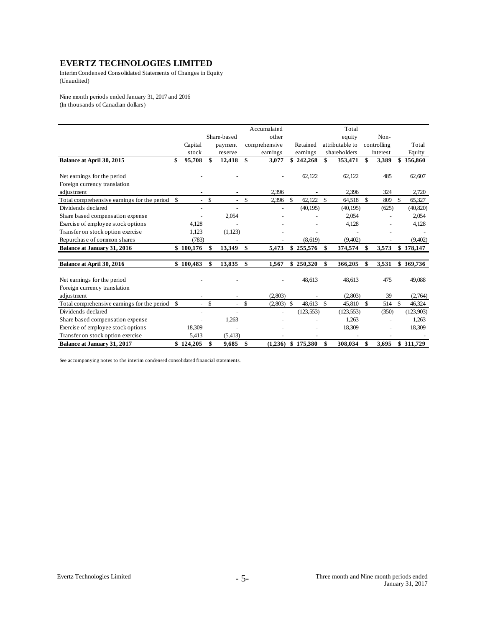Interim Condensed Consolidated Statements of Changes in Equity (Unaudited)

Nine month periods ended January 31, 2017 and 2016 (In thousands of Canadian dollars)

|                                                |                    |                          |               |                |               | Accumulated   |               |            |     | Total           |     |             |     |           |
|------------------------------------------------|--------------------|--------------------------|---------------|----------------|---------------|---------------|---------------|------------|-----|-----------------|-----|-------------|-----|-----------|
|                                                |                    |                          |               | Share-based    |               | other         |               |            |     | equity          |     | Non-        |     |           |
|                                                |                    | Capital                  |               | payment        |               | comprehensive |               | Retained   |     | attributable to |     | controlling |     | Total     |
|                                                |                    | stock                    |               | reserve        |               | earnings      |               | earnings   |     | shareholders    |     | interest    |     | Equity    |
| Balance at April 30, 2015                      | \$                 | 95,708                   | \$            | 12,418         | \$            | 3,077         |               | \$242,268  | \$  | 353,471         | \$  | 3,389       |     | \$356,860 |
|                                                |                    |                          |               |                |               |               |               |            |     |                 |     |             |     |           |
| Net earnings for the period                    |                    |                          |               |                |               |               |               | 62,122     |     | 62,122          |     | 485         |     | 62,607    |
| Foreign currency translation                   |                    |                          |               |                |               |               |               |            |     |                 |     |             |     |           |
| adjustment                                     |                    |                          |               |                |               | 2,396         |               |            |     | 2,396           |     | 324         |     | 2,720     |
| Total comprehensive earnings for the period \$ |                    | $\sim$                   | $\mathcal{S}$ | ÷              | $\mathcal{S}$ | 2,396         | $\mathcal{S}$ | 62.122     | -\$ | 64,518          | \$. | 809         | \$. | 65,327    |
| Dividends declared                             |                    | $\overline{\phantom{a}}$ |               |                |               |               |               | (40, 195)  |     | (40, 195)       |     | (625)       |     | (40, 820) |
| Share based compensation expense               |                    |                          |               | 2,054          |               |               |               |            |     | 2,054           |     |             |     | 2,054     |
| Exercise of employee stock options             |                    | 4,128                    |               |                |               |               |               |            |     | 4,128           |     |             |     | 4,128     |
| Transfer on stock option exercise              |                    | 1,123                    |               | (1,123)        |               |               |               |            |     |                 |     |             |     |           |
| Repurchase of common shares                    |                    | (783)                    |               |                |               |               |               | (8,619)    |     | (9,402)         |     |             |     | (9,402)   |
| Balance at January 31, 2016                    | \$100,176          |                          | \$            | 13,349         | -\$           | 5,473         |               | \$255,576  | -\$ | 374,574         |     | 3,573       |     | \$378,147 |
| Balance at April 30, 2016                      | \$100,483          |                          | \$            | 13,835         | \$            | 1,567         |               | \$250,320  | \$  | 366,205         | \$  | 3,531       |     | \$369,736 |
| Net earnings for the period                    |                    |                          |               |                |               |               |               | 48,613     |     | 48,613          |     | 475         |     | 49,088    |
| Foreign currency translation                   |                    |                          |               |                |               |               |               |            |     |                 |     |             |     |           |
| adjustment                                     |                    |                          |               |                |               | (2,803)       |               |            |     | (2,803)         |     | 39          |     | (2,764)   |
| Total comprehensive earnings for the period    | $\mathbf{\hat{s}}$ | $\sim$                   | \$            | $\overline{a}$ | \$            | $(2,803)$ \$  |               | 48,613     | -S  | 45,810          | \$  | 514         | \$  | 46,324    |
| Dividends declared                             |                    |                          |               |                |               |               |               | (123, 553) |     | (123, 553)      |     | (350)       |     | (123,903) |
| Share based compensation expense               |                    |                          |               | 1,263          |               |               |               |            |     | 1,263           |     |             |     | 1,263     |
| Exercise of employee stock options             |                    | 18,309                   |               |                |               |               |               |            |     | 18,309          |     |             |     | 18,309    |
| Transfer on stock option exercise              |                    | 5,413                    |               | (5, 413)       |               |               |               |            |     |                 |     |             |     |           |
| Balance at January 31, 2017                    | \$124.205          |                          | \$            | 9,685          | \$            | (1.236)       |               | \$175.380  | \$  | 308.034         | \$  | 3.695       |     | \$311,729 |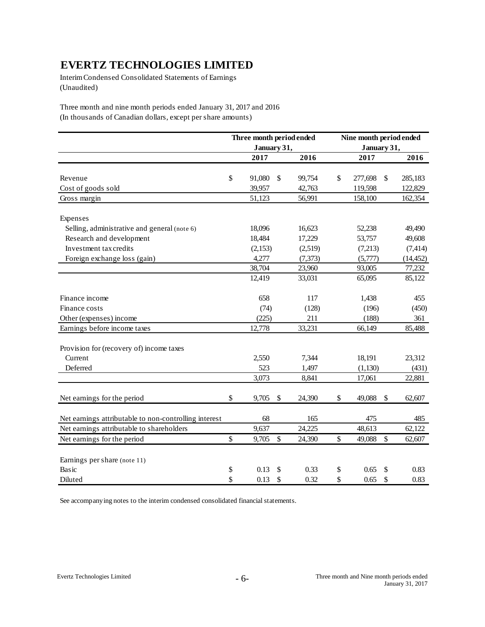Interim Condensed Consolidated Statements of Earnings (Unaudited)

Three month and nine month periods ended January 31, 2017 and 2016 (In thousands of Canadian dollars, except per share amounts)

|                                                       |              | Three month period ended |              | Nine month period ended |               |           |  |  |  |
|-------------------------------------------------------|--------------|--------------------------|--------------|-------------------------|---------------|-----------|--|--|--|
|                                                       |              | January 31,              |              |                         | January 31,   |           |  |  |  |
|                                                       |              | 2017                     | 2016         |                         | 2017          | 2016      |  |  |  |
|                                                       |              |                          |              |                         |               |           |  |  |  |
| Revenue                                               | \$           | 91,080                   | \$<br>99,754 | \$                      | 277,698<br>\$ | 285,183   |  |  |  |
| Cost of goods sold                                    |              | 39,957                   | 42,763       |                         | 119,598       | 122,829   |  |  |  |
| Gross margin                                          |              | 51,123                   | 56,991       |                         | 158,100       | 162,354   |  |  |  |
| Expenses                                              |              |                          |              |                         |               |           |  |  |  |
| Selling, administrative and general (note 6)          |              | 18,096                   | 16,623       |                         | 52,238        | 49,490    |  |  |  |
| Research and development                              |              | 18,484                   | 17,229       |                         | 53,757        | 49,608    |  |  |  |
| Investment tax credits                                |              | (2,153)                  | (2,519)      |                         | (7,213)       | (7, 414)  |  |  |  |
| Foreign exchange loss (gain)                          |              | 4,277                    | (7, 373)     |                         | (5,777)       | (14, 452) |  |  |  |
|                                                       |              | 38,704                   | 23,960       |                         | 93,005        | 77,232    |  |  |  |
|                                                       |              | 12,419                   | 33,031       |                         | 65,095        | 85,122    |  |  |  |
| Finance income                                        |              | 658                      | 117          |                         | 1,438         | 455       |  |  |  |
| Finance costs                                         |              | (74)                     | (128)        |                         | (196)         | (450)     |  |  |  |
| Other (expenses) income                               |              | (225)                    | 211          |                         | (188)         | 361       |  |  |  |
| Earnings before income taxes                          |              | 12,778                   | 33,231       |                         | 66,149        | 85,488    |  |  |  |
| Provision for (recovery of) income taxes              |              |                          |              |                         |               |           |  |  |  |
| Current                                               |              | 2,550                    | 7,344        |                         | 18,191        | 23,312    |  |  |  |
| Deferred                                              |              | 523                      | 1,497        |                         | (1,130)       | (431)     |  |  |  |
|                                                       |              | 3,073                    | 8,841        |                         | 17,061        | 22,881    |  |  |  |
| Net earnings for the period                           | $\mathbb{S}$ | 9,705                    | \$<br>24,390 | \$                      | 49,088<br>\$  | 62,607    |  |  |  |
| Net earnings attributable to non-controlling interest |              | 68                       | 165          |                         | 475           | 485       |  |  |  |
| Net earnings attributable to shareholders             |              | 9,637                    | 24,225       |                         | 48,613        | 62,122    |  |  |  |
| Net earnings for the period                           | \$           | 9,705                    | \$<br>24,390 | \$                      | \$<br>49,088  | 62,607    |  |  |  |
|                                                       |              |                          |              |                         |               |           |  |  |  |
| Earnings per share (note 11)                          |              |                          |              |                         |               |           |  |  |  |
| Basic                                                 | \$           | 0.13                     | \$<br>0.33   | \$                      | 0.65<br>\$    | 0.83      |  |  |  |
| Diluted                                               | \$           | 0.13                     | \$<br>0.32   | \$                      | \$<br>0.65    | 0.83      |  |  |  |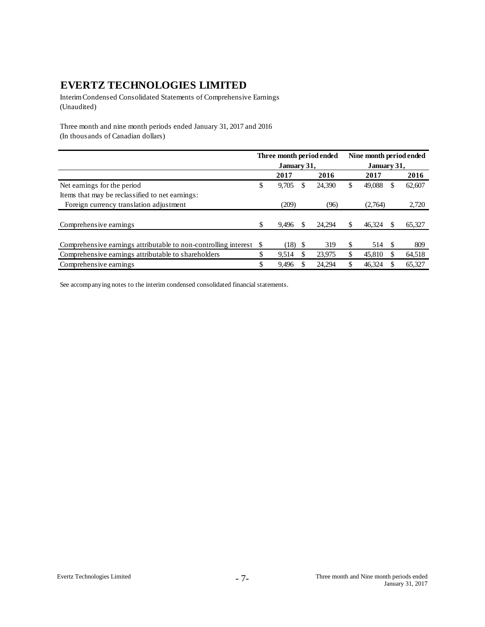Interim Condensed Consolidated Statements of Comprehensive Earnings (Unaudited)

Three month and nine month periods ended January 31, 2017 and 2016 (In thousands of Canadian dollars)

|                                                                 | Three month period ended |             |    |        |     | Nine month period ended |    |        |  |  |
|-----------------------------------------------------------------|--------------------------|-------------|----|--------|-----|-------------------------|----|--------|--|--|
|                                                                 |                          | January 31, |    |        |     | January 31,             |    |        |  |  |
|                                                                 |                          | 2017        |    | 2016   |     | 2017                    |    | 2016   |  |  |
| Net earnings for the period                                     | \$                       | 9,705       | S  | 24,390 | \$. | 49,088                  | S  | 62,607 |  |  |
| Items that may be reclassified to net earnings:                 |                          |             |    |        |     |                         |    |        |  |  |
| Foreign currency translation adjustment                         |                          | (209)       |    | (96)   |     | (2,764)                 |    | 2,720  |  |  |
|                                                                 |                          |             |    |        |     |                         |    |        |  |  |
| Comprehensive earnings                                          | S                        | 9.496       |    | 24.294 |     | 46.324                  |    | 65,327 |  |  |
|                                                                 |                          |             |    |        |     |                         |    |        |  |  |
| Comprehensive earnings attributable to non-controlling interest | -S                       | (18)        | -S | 319    | \$. | 514                     | -S | 809    |  |  |
| Comprehensive earnings attributable to shareholders             |                          | 9.514       | -S | 23.975 | \$  | 45,810                  |    | 64,518 |  |  |
| Comprehensive earnings                                          |                          | 9.496       |    | 24.294 |     | 46.324                  |    | 65,327 |  |  |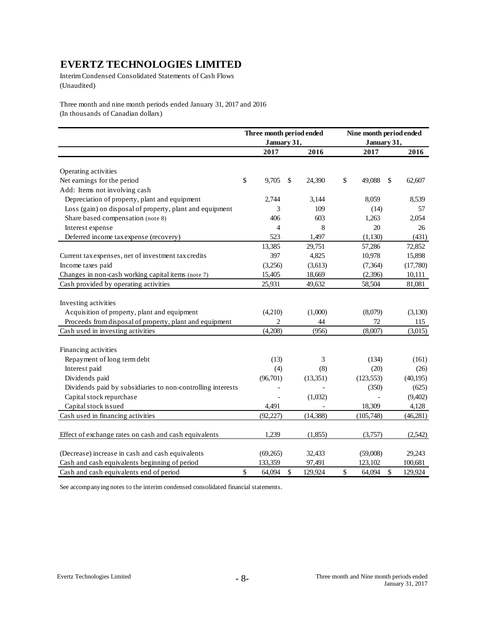Interim Condensed Consolidated Statements of Cash Flows (Unaudited)

Three month and nine month periods ended January 31, 2017 and 2016 (In thousands of Canadian dollars)

|                                                             | Three month period ended |                |    |           | Nine month period ended |    |           |
|-------------------------------------------------------------|--------------------------|----------------|----|-----------|-------------------------|----|-----------|
|                                                             |                          | January 31,    |    |           | January 31,             |    |           |
|                                                             |                          | 2017           |    | 2016      | 2017                    |    | 2016      |
|                                                             |                          |                |    |           |                         |    |           |
| Operating activities                                        |                          |                |    |           |                         |    |           |
| Net earnings for the period                                 | \$                       | 9,705          | \$ | 24.390    | \$<br>49.088            | S  | 62,607    |
| Add: Items not involving cash                               |                          |                |    |           |                         |    |           |
| Depreciation of property, plant and equipment               |                          | 2,744          |    | 3,144     | 8,059                   |    | 8.539     |
| Loss (gain) on disposal of property, plant and equipment    |                          | 3              |    | 109       | (14)                    |    | 57        |
| Share based compensation (note 8)                           |                          | 406            |    | 603       | 1,263                   |    | 2,054     |
| Interest expense                                            |                          | $\overline{4}$ |    | 8         | 20                      |    | 26        |
| Deferred income tax expense (recovery)                      |                          | 523            |    | 1,497     | (1,130)                 |    | (431)     |
|                                                             |                          | 13,385         |    | 29,751    | 57,286                  |    | 72,852    |
| Current tax expenses, net of investment tax credits         |                          | 397            |    | 4,825     | 10,978                  |    | 15,898    |
| Income taxes paid                                           |                          | (3,256)        |    | (3,613)   | (7, 364)                |    | (17,780)  |
| Changes in non-cash working capital items (note 7)          |                          | 15,405         |    | 18,669    | (2,396)                 |    | 10,111    |
| Cash provided by operating activities                       |                          | 25,931         |    | 49,632    | 58,504                  |    | 81,081    |
|                                                             |                          |                |    |           |                         |    |           |
| Investing activities                                        |                          |                |    |           |                         |    |           |
| Acquisition of property, plant and equipment                |                          | (4,210)        |    | (1,000)   | (8,079)                 |    | (3,130)   |
| Proceeds from disposal of property, plant and equipment     |                          | $\overline{c}$ |    | 44        | 72                      |    | 115       |
| Cash used in investing activities                           |                          | (4,208)        |    | (956)     | (8,007)                 |    | (3,015)   |
|                                                             |                          |                |    |           |                         |    |           |
| Financing activities                                        |                          |                |    |           |                         |    |           |
| Repayment of long term debt                                 |                          | (13)           |    | 3         | (134)                   |    | (161)     |
| Interest paid                                               |                          | (4)            |    | (8)       | (20)                    |    | (26)      |
| Dividends paid                                              |                          | (96,701)       |    | (13, 351) | (123, 553)              |    | (40, 195) |
| Dividends paid by subsidiaries to non-controlling interests |                          |                |    |           | (350)                   |    | (625)     |
| Capital stock repurchase                                    |                          |                |    | (1,032)   |                         |    | (9,402)   |
| Capital stock issued                                        |                          | 4,491          |    |           | 18,309                  |    | 4,128     |
| Cash used in financing activities                           |                          | (92, 227)      |    | (14, 388) | (105, 748)              |    | (46, 281) |
|                                                             |                          |                |    |           |                         |    |           |
| Effect of exchange rates on cash and cash equivalents       |                          | 1,239          |    | (1,855)   | (3,757)                 |    | (2,542)   |
|                                                             |                          |                |    |           |                         |    |           |
| (Decrease) increase in cash and cash equivalents            |                          | (69,265)       |    | 32,433    | (59,008)                |    | 29,243    |
| Cash and cash equivalents beginning of period               |                          | 133,359        |    | 97,491    | 123,102                 |    | 100,681   |
| Cash and cash equivalents end of period                     | \$                       | 64,094         | \$ | 129,924   | \$<br>64,094            | \$ | 129,924   |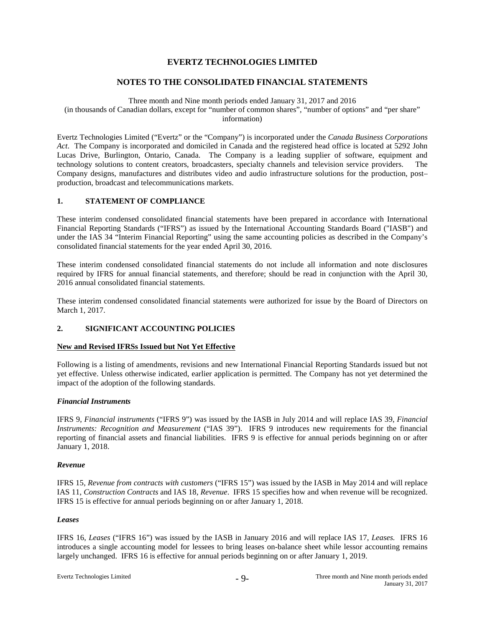#### **NOTES TO THE CONSOLIDATED FINANCIAL STATEMENTS**

Three month and Nine month periods ended January 31, 2017 and 2016 (in thousands of Canadian dollars, except for "number of common shares", "number of options" and "per share" information)

Evertz Technologies Limited ("Evertz" or the "Company") is incorporated under the *Canada Business Corporations Act*. The Company is incorporated and domiciled in Canada and the registered head office is located at 5292 John Lucas Drive, Burlington, Ontario, Canada. The Company is a leading supplier of software, equipment and technology solutions to content creators, broadcasters, specialty channels and television service providers. The Company designs, manufactures and distributes video and audio infrastructure solutions for the production, post– production, broadcast and telecommunications markets.

#### **1. STATEMENT OF COMPLIANCE**

These interim condensed consolidated financial statements have been prepared in accordance with International Financial Reporting Standards ("IFRS") as issued by the International Accounting Standards Board ("IASB") and under the IAS 34 "Interim Financial Reporting" using the same accounting policies as described in the Company's consolidated financial statements for the year ended April 30, 2016.

These interim condensed consolidated financial statements do not include all information and note disclosures required by IFRS for annual financial statements, and therefore; should be read in conjunction with the April 30, 2016 annual consolidated financial statements.

These interim condensed consolidated financial statements were authorized for issue by the Board of Directors on March 1, 2017.

#### **2. SIGNIFICANT ACCOUNTING POLICIES**

#### **New and Revised IFRSs Issued but Not Yet Effective**

Following is a listing of amendments, revisions and new International Financial Reporting Standards issued but not yet effective. Unless otherwise indicated, earlier application is permitted. The Company has not yet determined the impact of the adoption of the following standards.

#### *Financial Instruments*

IFRS 9, *Financial instruments* ("IFRS 9") was issued by the IASB in July 2014 and will replace IAS 39, *Financial Instruments: Recognition and Measurement* ("IAS 39"). IFRS 9 introduces new requirements for the financial reporting of financial assets and financial liabilities. IFRS 9 is effective for annual periods beginning on or after January 1, 2018.

#### *Revenue*

IFRS 15, *Revenue from contracts with customers* ("IFRS 15") was issued by the IASB in May 2014 and will replace IAS 11, *Construction Contracts* and IAS 18, *Revenue*. IFRS 15 specifies how and when revenue will be recognized. IFRS 15 is effective for annual periods beginning on or after January 1, 2018.

#### *Leases*

IFRS 16, *Leases* ("IFRS 16") was issued by the IASB in January 2016 and will replace IAS 17, *Leases.* IFRS 16 introduces a single accounting model for lessees to bring leases on-balance sheet while lessor accounting remains largely unchanged. IFRS 16 is effective for annual periods beginning on or after January 1, 2019.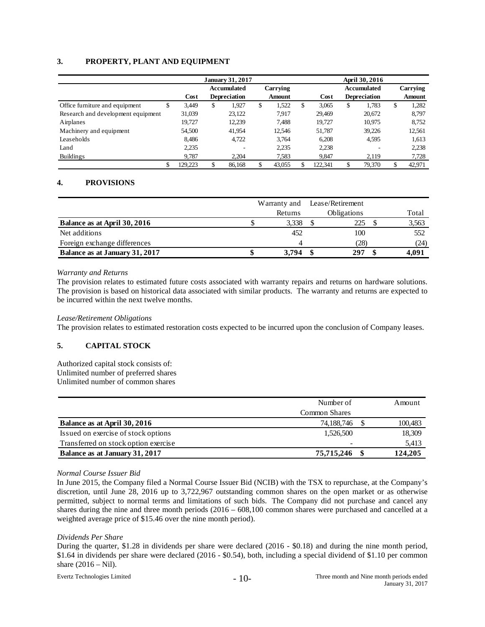#### **3. PROPERTY, PLANT AND EQUIPMENT**

|                                    |               | <b>January 31, 2017</b> |    |                     |   |          |   | April 30, 2016 |    |                     |    |          |  |
|------------------------------------|---------------|-------------------------|----|---------------------|---|----------|---|----------------|----|---------------------|----|----------|--|
|                                    |               |                         |    | Accumulated         |   | Carrying |   |                |    | <b>Accumulated</b>  |    | Carrying |  |
|                                    |               | Cost                    |    | <b>Depreciation</b> |   | Amount   |   | Cost           |    | <b>Depreciation</b> |    | Amount   |  |
| Office furniture and equipment     | 3,449<br>S    |                         | \$ | 1,927               | S | 1,522    | S | 3,065          | \$ | 1.783               | \$ | 1,282    |  |
| Research and development equipment | 31,039        |                         |    | 23,122              |   | 7.917    |   | 29.469         |    | 20,672              |    | 8,797    |  |
| Airplanes                          | 19,727        |                         |    | 12,239              |   | 7.488    |   | 19.727         |    | 10,975              |    | 8,752    |  |
| Machinery and equipment            | 54,500        |                         |    | 41,954              |   | 12,546   |   | 51.787         |    | 39.226              |    | 12,561   |  |
| Leaseholds                         | 8.486         |                         |    | 4.722               |   | 3.764    |   | 6.208          |    | 4.595               |    | 1,613    |  |
| Land                               | 2,235         |                         |    |                     |   | 2,235    |   | 2,238          |    |                     |    | 2,238    |  |
| Buildings                          | 9.787         |                         |    | 2.204               |   | 7.583    |   | 9.847          |    | 2,119               |    | 7,728    |  |
|                                    | \$<br>129.223 |                         |    | 86.168              |   | 43,055   |   | 122.341        | \$ | 79.370              | \$ | 42,971   |  |

#### **4. PROVISIONS**

|                                | Warranty and |         |  | Lease/Retirement   |       |
|--------------------------------|--------------|---------|--|--------------------|-------|
|                                |              | Returns |  | <b>Obligations</b> | Total |
| Balance as at April 30, 2016   |              | 3,338   |  | 225                | 3,563 |
| Net additions                  |              | 452     |  | 100                | 552   |
| Foreign exchange differences   |              | 4       |  | (28)               | (24)  |
| Balance as at January 31, 2017 |              | 3.794   |  | 297                | 4.091 |

#### *Warranty and Returns*

The provision relates to estimated future costs associated with warranty repairs and returns on hardware solutions. The provision is based on historical data associated with similar products. The warranty and returns are expected to be incurred within the next twelve months.

#### *Lease/Retirement Obligations*

The provision relates to estimated restoration costs expected to be incurred upon the conclusion of Company leases.

#### **5. CAPITAL STOCK**

Authorized capital stock consists of: Unlimited number of preferred shares Unlimited number of common shares

|                                      | Number of     | Amount  |
|--------------------------------------|---------------|---------|
|                                      | Common Shares |         |
| Balance as at April 30, 2016         | 74,188,746    | 100,483 |
| Issued on exercise of stock options  | 1,526,500     | 18,309  |
| Transferred on stock option exercise |               | 5,413   |
| Balance as at January 31, 2017       | 75,715,246    | 124,205 |

#### *Normal Course Issuer Bid*

In June 2015, the Company filed a Normal Course Issuer Bid (NCIB) with the TSX to repurchase, at the Company's discretion, until June 28, 2016 up to 3,722,967 outstanding common shares on the open market or as otherwise permitted, subject to normal terms and limitations of such bids. The Company did not purchase and cancel any shares during the nine and three month periods (2016 – 608,100 common shares were purchased and cancelled at a weighted average price of \$15.46 over the nine month period).

#### *Dividends Per Share*

During the quarter, \$1.28 in dividends per share were declared (2016 - \$0.18) and during the nine month period, \$1.64 in dividends per share were declared (2016 - \$0.54), both, including a special dividend of \$1.10 per common share  $(2016 - Nil)$ .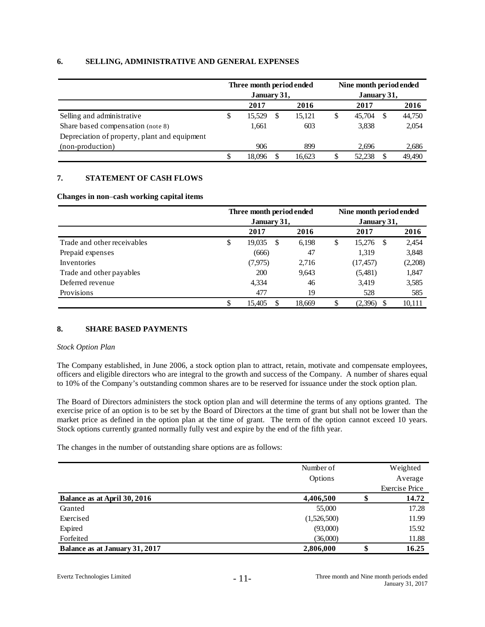#### **6. SELLING, ADMINISTRATIVE AND GENERAL EXPENSES**

|                                               |   | Three month period ended<br>January 31, |    |        | Nine month period ended<br>January 31, |        |     |        |  |  |
|-----------------------------------------------|---|-----------------------------------------|----|--------|----------------------------------------|--------|-----|--------|--|--|
|                                               |   | 2017                                    |    | 2016   |                                        | 2017   |     | 2016   |  |  |
| Selling and administrative                    | S | 15,529                                  | S  | 15,121 | \$                                     | 45,704 | \$. | 44,750 |  |  |
| Share based compensation (note 8)             |   | 1.661                                   |    | 603    |                                        | 3,838  |     | 2,054  |  |  |
| Depreciation of property, plant and equipment |   |                                         |    |        |                                        |        |     |        |  |  |
| (non-production)                              |   | 906                                     |    | 899    |                                        | 2.696  |     | 2,686  |  |  |
|                                               |   | 18.096                                  | £. | 16,623 |                                        | 52,238 |     | 49,490 |  |  |

#### **7. STATEMENT OF CASH FLOWS**

#### **Changes in non**–**cash working capital items**

|                             | Three month period ended |        |             | Nine month period ended |         |  |  |  |
|-----------------------------|--------------------------|--------|-------------|-------------------------|---------|--|--|--|
|                             | January 31,              |        | January 31, |                         |         |  |  |  |
|                             | 2017                     | 2016   |             | 2017                    | 2016    |  |  |  |
| Trade and other receivables | \$<br>19,035<br>\$       | 6,198  | \$          | 15,276<br>-\$           | 2,454   |  |  |  |
| Prepaid expenses            | (666)                    | 47     |             | 1,319                   | 3,848   |  |  |  |
| Inventories                 | (7, 975)                 | 2,716  |             | (17, 457)               | (2,208) |  |  |  |
| Trade and other payables    | <b>200</b>               | 9,643  |             | (5,481)                 | 1,847   |  |  |  |
| Deferred revenue            | 4,334                    | 46     |             | 3,419                   | 3,585   |  |  |  |
| Provisions                  | 477                      | 19     |             | 528                     | 585     |  |  |  |
|                             | \$<br>15,405<br>S        | 18.669 | S           | (2,396)<br>\$.          | 10,111  |  |  |  |

#### **8. SHARE BASED PAYMENTS**

#### *Stock Option Plan*

The Company established, in June 2006, a stock option plan to attract, retain, motivate and compensate employees, officers and eligible directors who are integral to the growth and success of the Company. A number of shares equal to 10% of the Company's outstanding common shares are to be reserved for issuance under the stock option plan.

The Board of Directors administers the stock option plan and will determine the terms of any options granted. The exercise price of an option is to be set by the Board of Directors at the time of grant but shall not be lower than the market price as defined in the option plan at the time of grant. The term of the option cannot exceed 10 years. Stock options currently granted normally fully vest and expire by the end of the fifth year.

The changes in the number of outstanding share options are as follows:

|                                | Number of   | Weighted              |
|--------------------------------|-------------|-----------------------|
|                                | Options     | Average               |
|                                |             | <b>Exercise Price</b> |
| Balance as at April 30, 2016   | 4,406,500   | 14.72                 |
| Granted                        | 55,000      | 17.28                 |
| Exercised                      | (1,526,500) | 11.99                 |
| Expired                        | (93,000)    | 15.92                 |
| Forfeited                      | (36,000)    | 11.88                 |
| Balance as at January 31, 2017 | 2,806,000   | 16.25                 |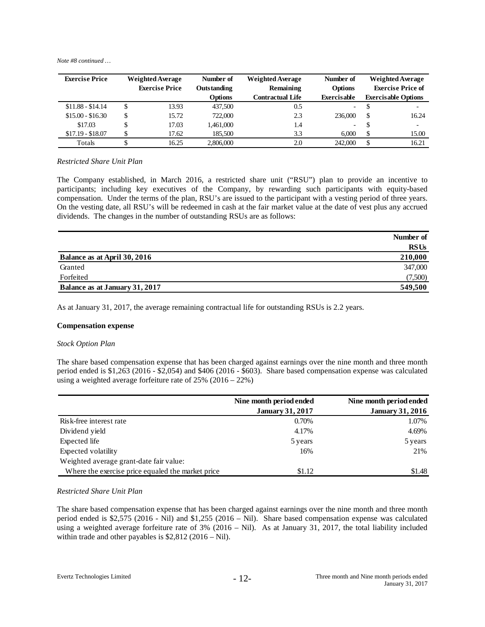*Note #8 continued …*

| <b>Exercise Price</b> | <b>Weighted Average</b> | Number of      | <b>Weighted Average</b> | Number of                | <b>Weighted Average</b> |                            |  |
|-----------------------|-------------------------|----------------|-------------------------|--------------------------|-------------------------|----------------------------|--|
|                       | <b>Exercise Price</b>   | Outstanding    | Remaining               | <b>Options</b>           |                         | <b>Exercise Price of</b>   |  |
|                       |                         | <b>Options</b> | <b>Contractual Life</b> | Exercisable              |                         | <b>Exercisable Options</b> |  |
| $$11.88 - $14.14$     | 13.93                   | 437,500        | 0.5                     | $\overline{\phantom{0}}$ |                         | $\overline{\phantom{0}}$   |  |
| $$15.00 - $16.30$     | \$<br>15.72             | 722,000        | 2.3                     | 236,000                  | £.                      | 16.24                      |  |
| \$17.03               | 17.03                   | 1,461,000      | 1.4                     | $\overline{\phantom{0}}$ | Ф                       | ٠                          |  |
| $$17.19 - $18.07$     | 17.62                   | 185,500        | 3.3                     | 6.000                    |                         | 15.00                      |  |
| Totals                | 16.25                   | 2,806,000      | 2.0                     | 242,000                  | -S                      | 16.21                      |  |

#### *Restricted Share Unit Plan*

The Company established, in March 2016, a restricted share unit ("RSU") plan to provide an incentive to participants; including key executives of the Company, by rewarding such participants with equity-based compensation. Under the terms of the plan, RSU's are issued to the participant with a vesting period of three years. On the vesting date, all RSU's will be redeemed in cash at the fair market value at the date of vest plus any accrued dividends. The changes in the number of outstanding RSUs are as follows:

|                                | Number of   |
|--------------------------------|-------------|
|                                | <b>RSUs</b> |
| Balance as at April 30, 2016   | 210,000     |
| Granted                        | 347,000     |
| Forfeited                      | (7,500)     |
| Balance as at January 31, 2017 | 549,500     |

As at January 31, 2017, the average remaining contractual life for outstanding RSUs is 2.2 years.

#### **Compensation expense**

#### *Stock Option Plan*

The share based compensation expense that has been charged against earnings over the nine month and three month period ended is \$1,263 (2016 - \$2,054) and \$406 (2016 - \$603). Share based compensation expense was calculated using a weighted average forfeiture rate of 25% (2016 – 22%)

|                                                   | Nine month period ended | Nine month period ended |
|---------------------------------------------------|-------------------------|-------------------------|
|                                                   | <b>January 31, 2017</b> | <b>January 31, 2016</b> |
| Risk-free interest rate                           | 0.70%                   | 1.07%                   |
| Dividend yield                                    | 4.17%                   | 4.69%                   |
| Expected life                                     | 5 years                 | 5 years                 |
| Expected volatility                               | 16%                     | 21%                     |
| Weighted average grant-date fair value:           |                         |                         |
| Where the exercise price equaled the market price | \$1.12                  | \$1.48                  |

#### *Restricted Share Unit Plan*

The share based compensation expense that has been charged against earnings over the nine month and three month period ended is \$2,575 (2016 - Nil) and \$1,255 (2016 – Nil). Share based compensation expense was calculated using a weighted average forfeiture rate of 3% (2016 – Nil). As at January 31, 2017, the total liability included within trade and other payables is \$2,812 (2016 – Nil).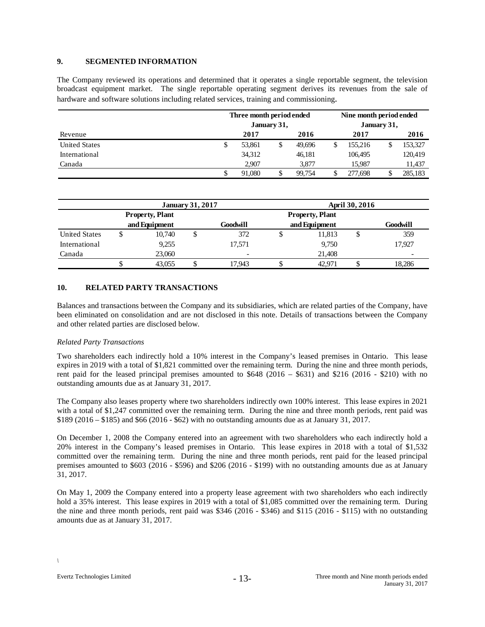#### **9. SEGMENTED INFORMATION**

The Company reviewed its operations and determined that it operates a single reportable segment, the television broadcast equipment market. The single reportable operating segment derives its revenues from the sale of hardware and software solutions including related services, training and commissioning.

|                      | Three month period ended<br>January 31, |        |    |        |  | Nine month period ended<br>January 31, |  |         |  |
|----------------------|-----------------------------------------|--------|----|--------|--|----------------------------------------|--|---------|--|
| Revenue              |                                         | 2017   |    | 2016   |  | 2017                                   |  | 2016    |  |
| <b>United States</b> | \$                                      | 53.861 | \$ | 49.696 |  | 155,216                                |  | 153,327 |  |
| International        |                                         | 34,312 |    | 46,181 |  | 106,495                                |  | 120,419 |  |
| Canada               |                                         | 2.907  |    | 3.877  |  | 15,987                                 |  | 11,437  |  |
|                      | J                                       | 91,080 |    | 99.754 |  | 277,698                                |  | 285.183 |  |

|                      |                        |               | <b>January 31, 2017</b> |                          | April 30, 2016         |               |    |          |  |  |
|----------------------|------------------------|---------------|-------------------------|--------------------------|------------------------|---------------|----|----------|--|--|
|                      | <b>Property, Plant</b> |               |                         |                          | <b>Property, Plant</b> |               |    |          |  |  |
|                      |                        | and Equipment |                         | Goodwill                 |                        | and Equipment |    | Goodwill |  |  |
| <b>United States</b> | Φ                      | 10.740        | D                       | 372                      | ◡                      | 11,813        | \$ | 359      |  |  |
| International        |                        | 9,255         |                         | 17.571                   |                        | 9,750         |    | 17.927   |  |  |
| Canada               |                        | 23,060        |                         | $\overline{\phantom{0}}$ |                        | 21.408        |    | -        |  |  |
|                      |                        | 43,055        |                         | 17.943                   |                        | 42.971        |    | 18,286   |  |  |

### **10. RELATED PARTY TRANSACTIONS**

Balances and transactions between the Company and its subsidiaries, which are related parties of the Company, have been eliminated on consolidation and are not disclosed in this note. Details of transactions between the Company and other related parties are disclosed below.

#### *Related Party Transactions*

Two shareholders each indirectly hold a 10% interest in the Company's leased premises in Ontario. This lease expires in 2019 with a total of \$1,821 committed over the remaining term. During the nine and three month periods, rent paid for the leased principal premises amounted to  $$648 (2016 - $631)$  and \$216 (2016 - \$210) with no outstanding amounts due as at January 31, 2017.

The Company also leases property where two shareholders indirectly own 100% interest. This lease expires in 2021 with a total of \$1,247 committed over the remaining term. During the nine and three month periods, rent paid was \$189 (2016 – \$185) and \$66 (2016 - \$62) with no outstanding amounts due as at January 31, 2017.

On December 1, 2008 the Company entered into an agreement with two shareholders who each indirectly hold a 20% interest in the Company's leased premises in Ontario. This lease expires in 2018 with a total of \$1,532 committed over the remaining term. During the nine and three month periods, rent paid for the leased principal premises amounted to \$603 (2016 - \$596) and \$206 (2016 - \$199) with no outstanding amounts due as at January 31, 2017.

On May 1, 2009 the Company entered into a property lease agreement with two shareholders who each indirectly hold a 35% interest. This lease expires in 2019 with a total of \$1,085 committed over the remaining term. During the nine and three month periods, rent paid was \$346 (2016 - \$346) and \$115 (2016 - \$115) with no outstanding amounts due as at January 31, 2017.

*\*